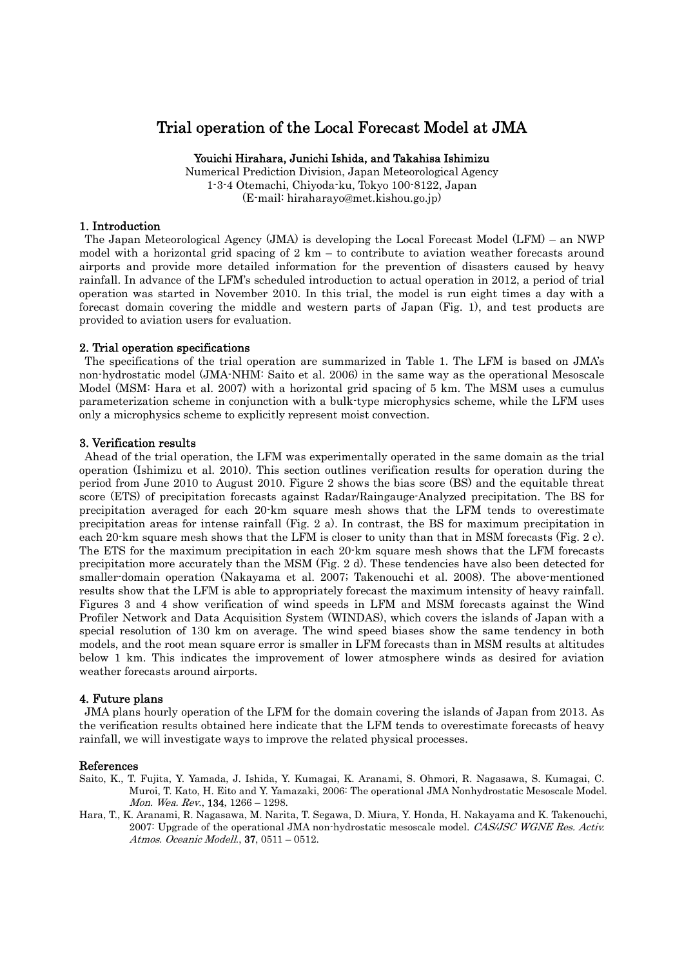# Trial operation of the Local Forecast Model at JMA

## Youichi Hirahara, Junichi Ishida, and Takahisa Ishimizu

Numerical Prediction Division, Japan Meteorological Agency 1-3-4 Otemachi, Chiyoda-ku, Tokyo 100-8122, Japan (E-mail: hiraharayo@met.kishou.go.jp)

## 1. Introduction

The Japan Meteorological Agency (JMA) is developing the Local Forecast Model (LFM) – an NWP model with a horizontal grid spacing of  $2 \text{ km} - \text{ to contribute to a variation weather forecasts around}$ airports and provide more detailed information for the prevention of disasters caused by heavy rainfall. In advance of the LFM's scheduled introduction to actual operation in 2012, a period of trial operation was started in November 2010. In this trial, the model is run eight times a day with a forecast domain covering the middle and western parts of Japan (Fig. 1), and test products are provided to aviation users for evaluation.

#### 2. Trial operation specifications

The specifications of the trial operation are summarized in Table 1. The LFM is based on JMA's non-hydrostatic model (JMA-NHM: Saito et al. 2006) in the same way as the operational Mesoscale Model (MSM: Hara et al. 2007) with a horizontal grid spacing of 5 km. The MSM uses a cumulus parameterization scheme in conjunction with a bulk-type microphysics scheme, while the LFM uses only a microphysics scheme to explicitly represent moist convection.

### 3. Verification results

Ahead of the trial operation, the LFM was experimentally operated in the same domain as the trial operation (Ishimizu et al. 2010). This section outlines verification results for operation during the period from June 2010 to August 2010. Figure 2 shows the bias score (BS) and the equitable threat score (ETS) of precipitation forecasts against Radar/Raingauge-Analyzed precipitation. The BS for precipitation averaged for each 20-km square mesh shows that the LFM tends to overestimate precipitation areas for intense rainfall (Fig. 2 a). In contrast, the BS for maximum precipitation in each 20-km square mesh shows that the LFM is closer to unity than that in MSM forecasts (Fig. 2 c). The ETS for the maximum precipitation in each 20-km square mesh shows that the LFM forecasts precipitation more accurately than the MSM (Fig. 2 d). These tendencies have also been detected for smaller-domain operation (Nakayama et al. 2007; Takenouchi et al. 2008). The above-mentioned results show that the LFM is able to appropriately forecast the maximum intensity of heavy rainfall. Figures 3 and 4 show verification of wind speeds in LFM and MSM forecasts against the Wind Profiler Network and Data Acquisition System (WINDAS), which covers the islands of Japan with a special resolution of 130 km on average. The wind speed biases show the same tendency in both models, and the root mean square error is smaller in LFM forecasts than in MSM results at altitudes below 1 km. This indicates the improvement of lower atmosphere winds as desired for aviation weather forecasts around airports.

#### 4. Future plans

JMA plans hourly operation of the LFM for the domain covering the islands of Japan from 2013. As the verification results obtained here indicate that the LFM tends to overestimate forecasts of heavy rainfall, we will investigate ways to improve the related physical processes.

#### References

- Saito, K., T. Fujita, Y. Yamada, J. Ishida, Y. Kumagai, K. Aranami, S. Ohmori, R. Nagasawa, S. Kumagai, C. Muroi, T. Kato, H. Eito and Y. Yamazaki, 2006: The operational JMA Nonhydrostatic Mesoscale Model. Mon. Wea. Rev., 134, 1266 – 1298.
- Hara, T., K. Aranami, R. Nagasawa, M. Narita, T. Segawa, D. Miura, Y. Honda, H. Nakayama and K. Takenouchi, 2007: Upgrade of the operational JMA non-hydrostatic mesoscale model. CAS/JSC WGNE Res. Activ. Atmos. Oceanic Modell., 37, 0511 – 0512.